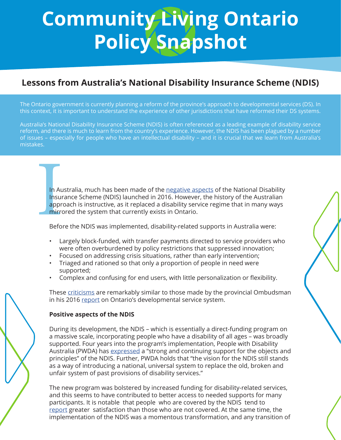# **Community Living Ontario Policy Snapshot**

# **Lessons from Australia's National Disability Insurance Scheme (NDIS)**

The Ontario government is currently planning a reform of the province's approach to developmental services (DS). In this context, it is important to understand the experience of other jurisdictions that have reformed their DS systems.

Australia's National Disability Insurance Scheme (NDIS) is often referenced as a leading example of disability service reform, and there is much to learn from the country's experience. However, the NDIS has been plagued by a number of issues – especially for people who have an intellectual disability – and it is crucial that we learn from Australia's mistakes.

In Au<br>Insur<br>appr<br>mirro<br>Befo In Australia, much has been made of the [negative aspects](https://www.abc.net.au/news/2017-10-18/ndis-teething-problems-make-many-patients-feel-not-worth-help/9059528) of the National Disability Insurance Scheme (NDIS) launched in 2016. However, the history of the Australian approach is instructive, as it replaced a disability service regime that in many ways mirrored the system that currently exists in Ontario.

Before the NDIS was implemented, disability-related supports in Australia were:

- Largely block-funded, with transfer payments directed to service providers who were often overburdened by policy restrictions that suppressed innovation;
- Focused on addressing crisis situations, rather than early intervention;
- Triaged and rationed so that only a proportion of people in need were supported;
- Complex and confusing for end users, with little personalization or flexibility.

These [criticisms](https://www.pc.gov.au/inquiries/completed/ndis-costs#report) are remarkably similar to those made by the provincial Ombudsman in his 2016 [report](https://www.ombudsman.on.ca/resources/reports-and-case-summaries/reports-on-investigations/2016/nowhere-to-turn) on Ontario's developmental service system.

#### **Positive aspects of the NDIS**

During its development, the NDIS – which is essentially a direct-funding program on a massive scale, incorporating people who have a disability of all ages – was broadly supported. Four years into the program's implementation, People with Disability Australia (PWDA) has [expressed](https://pwd.org.au/submission-to-the-tune-review-of-the-ndis-act/) a "strong and continuing support for the objects and principles" of the NDIS. Further, PWDA holds that "the vision for the NDIS still stands as a way of introducing a national, universal system to replace the old, broken and unfair system of past provisions of disability services."

The new program was bolstered by increased funding for disability-related services, and this seems to have contributed to better access to needed supports for many participants. It is notable that people who are covered by the NDIS tend to [report](https://www.dss.gov.au/sites/default/files/documents/04_2018/ndis_evaluation_consolidated_report_april_2018.pdf) greater satisfaction than those who are not covered. At the same time, the implementation of the NDIS was a momentous transformation, and any transition of